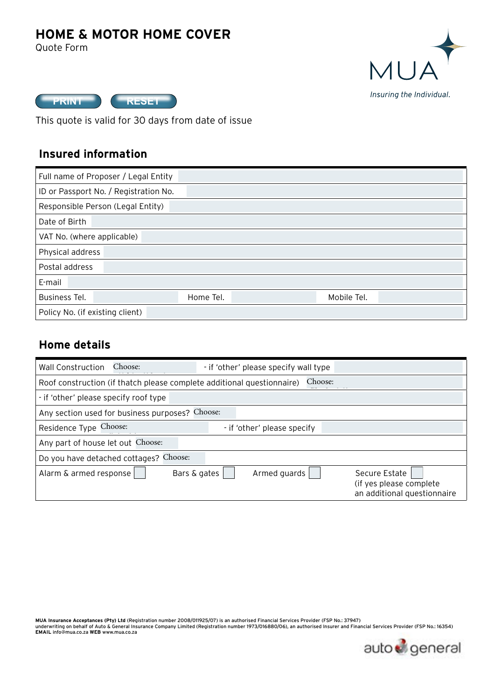# **HOME & MOTOR HOME COVER**

Quote Form





This quote is valid for 30 days from date of issue

### **Insured information**

| Full name of Proposer / Legal Entity  |           |             |  |  |
|---------------------------------------|-----------|-------------|--|--|
| ID or Passport No. / Registration No. |           |             |  |  |
| Responsible Person (Legal Entity)     |           |             |  |  |
| Date of Birth                         |           |             |  |  |
| VAT No. (where applicable)            |           |             |  |  |
| Physical address                      |           |             |  |  |
| Postal address                        |           |             |  |  |
| E-mail                                |           |             |  |  |
| <b>Business Tel.</b>                  | Home Tel. | Mobile Tel. |  |  |
| Policy No. (if existing client)       |           |             |  |  |

### **Home details**

| <b>Wall Construction</b>              | Choose:                                                                |              | - if 'other' please specify wall type |         |                                                                         |
|---------------------------------------|------------------------------------------------------------------------|--------------|---------------------------------------|---------|-------------------------------------------------------------------------|
|                                       | Roof construction (if thatch please complete additional questionnaire) |              |                                       | Choose: |                                                                         |
| - if 'other' please specify roof type |                                                                        |              |                                       |         |                                                                         |
|                                       | Any section used for business purposes? Choose:                        |              |                                       |         |                                                                         |
| Residence Type Choose:                |                                                                        |              | - if 'other' please specify           |         |                                                                         |
| Any part of house let out Choose:     |                                                                        |              |                                       |         |                                                                         |
|                                       | Do you have detached cottages? Choose:                                 |              |                                       |         |                                                                         |
| Alarm & armed response                |                                                                        | Bars & gates | Armed guards                          |         | Secure Estate<br>(if yes please complete<br>an additional questionnaire |

MUA Insurance Acceptances (Pty) Ltd (Registration number 2008/011925/07) is an authorised Financial Services Provider (FSP No.: 37947)<br>underwriting on behalf of Auto & General Insurance Company Limited (Registration number

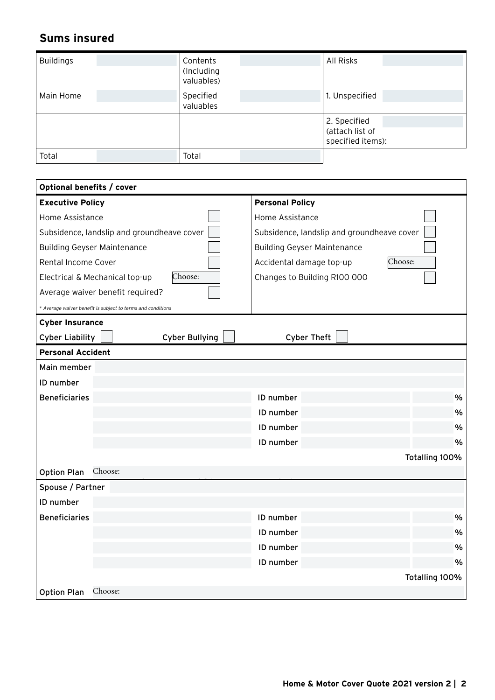## **Sums insured**

| <b>Buildings</b> | Contents<br>(Including<br>valuables) | All Risks                                            |  |
|------------------|--------------------------------------|------------------------------------------------------|--|
| Main Home        | Specified<br>valuables               | 1. Unspecified                                       |  |
|                  |                                      | 2. Specified<br>(attach list of<br>specified items): |  |
| Total            | Total                                |                                                      |  |

| Optional benefits / cover                                   |                                            |
|-------------------------------------------------------------|--------------------------------------------|
| <b>Executive Policy</b>                                     | <b>Personal Policy</b>                     |
| Home Assistance                                             | Home Assistance                            |
| Subsidence, landslip and groundheave cover                  | Subsidence, landslip and groundheave cover |
| <b>Building Geyser Maintenance</b>                          | <b>Building Geyser Maintenance</b>         |
| Rental Income Cover                                         | Choose:<br>Accidental damage top-up        |
| Choose:<br>Electrical & Mechanical top-up                   | Changes to Building R100 000               |
| Average waiver benefit required?                            |                                            |
| * Average waiver benefit is subject to terms and conditions |                                            |
| <b>Cyber Insurance</b>                                      |                                            |
| <b>Cyber Bullying</b><br><b>Cyber Liability</b>             | <b>Cyber Theft</b>                         |
| <b>Personal Accident</b>                                    |                                            |
| Main member                                                 |                                            |
| ID number                                                   |                                            |
| <b>Beneficiaries</b>                                        | %<br>ID number                             |
|                                                             | %<br>ID number                             |
|                                                             | %<br>ID number                             |
|                                                             | ID number<br>$\%$                          |
|                                                             | Totalling 100%                             |
| Choose:<br><b>Option Plan</b>                               |                                            |
| Spouse / Partner                                            |                                            |
| ID number                                                   |                                            |
| <b>Beneficiaries</b>                                        | %<br>ID number                             |
|                                                             | $\frac{9}{6}$<br>ID number                 |
|                                                             | %<br>ID number                             |
|                                                             | $\frac{0}{0}$<br>ID number                 |
|                                                             | Totalling 100%                             |
| Choose:<br><b>Option Plan</b>                               |                                            |

Option 1: Death R250 000; Disability R250 000; Hospital R500 2: R500 R500 R1 000 3: R1 000 000; Disability R1 000 000; Hospital R1 250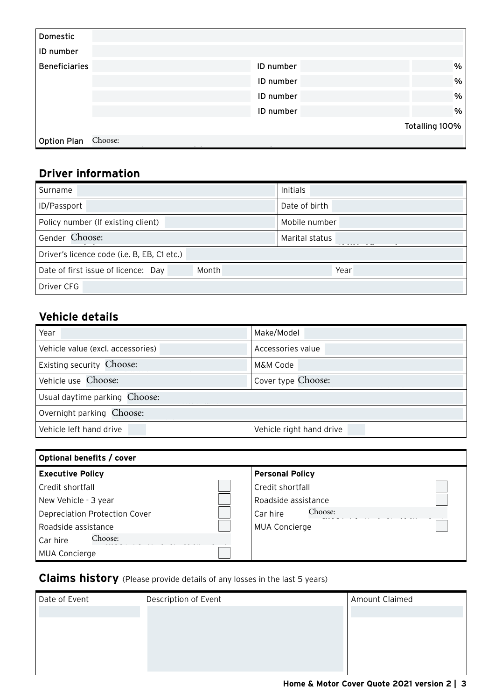| Domestic             |         |           |                |
|----------------------|---------|-----------|----------------|
| ID number            |         |           |                |
| <b>Beneficiaries</b> |         | ID number | %              |
|                      |         | ID number | $\%$           |
|                      |         | ID number | %              |
|                      |         | ID number | %              |
|                      |         |           | Totalling 100% |
| <b>Option Plan</b>   | Choose: |           |                |
|                      |         |           |                |

## **Driver information**

| Surname                                      | Initials       |
|----------------------------------------------|----------------|
| ID/Passport                                  | Date of birth  |
| Policy number (If existing client)           | Mobile number  |
| Gender Choose:                               | Marital status |
| Driver's licence code (i.e. B, EB, C1 etc.)  |                |
| Month<br>Date of first issue of licence: Day | Year           |
| Driver CFG                                   |                |

# **Vehicle details**

| Year                              | Make/Model               |
|-----------------------------------|--------------------------|
| Vehicle value (excl. accessories) | Accessories value        |
| Existing security Choose:         | M&M Code                 |
| Vehicle use Choose:               | Cover type Choose:       |
| Usual daytime parking Choose:     |                          |
| Overnight parking Choose:         |                          |
| Vehicle left hand drive           | Vehicle right hand drive |

| Optional benefits / cover     |                        |
|-------------------------------|------------------------|
| <b>Executive Policy</b>       | <b>Personal Policy</b> |
| Credit shortfall              | Credit shortfall       |
| New Vehicle - 3 year          | Roadside assistance    |
| Depreciation Protection Cover | Choose:<br>Car hire    |
| Roadside assistance           | <b>MUA Concierge</b>   |
| Choose:<br>Car hire           |                        |
| <b>MUA Concierge</b>          |                        |

### **Claims history** (Please provide details of any losses in the last 5 years)

| Date of Event | Description of Event | Amount Claimed |
|---------------|----------------------|----------------|
|               |                      |                |
|               |                      |                |
|               |                      |                |
|               |                      |                |
|               |                      |                |